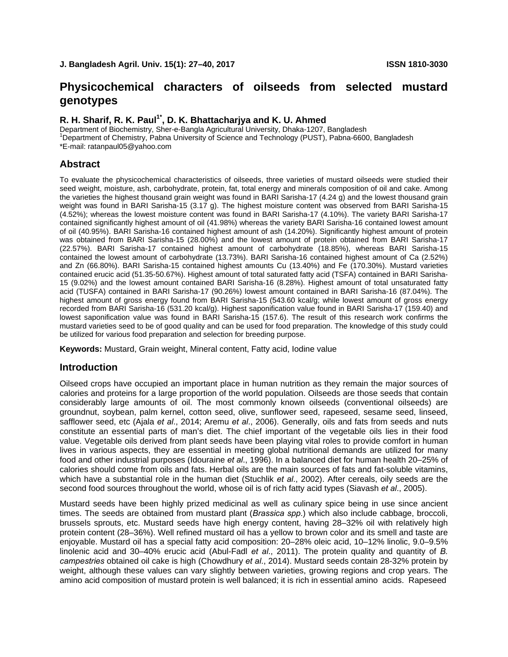# **Physicochemical characters of oilseeds from selected mustard genotypes**

## R. H. Sharif, R. K. Paul<sup>1\*</sup>, D. K. Bhattachariya and K. U. Ahmed

Department of Biochemistry, Sher-e-Bangla Agricultural University, Dhaka-1207, Bangladesh 1 <sup>1</sup>Department of Chemistry, Pabna University of Science and Technology (PUST), Pabna-6600, Bangladesh \*E-mail: ratanpaul05@yahoo.com

## **Abstract**

To evaluate the physicochemical characteristics of oilseeds, three varieties of mustard oilseeds were studied their seed weight, moisture, ash, carbohydrate, protein, fat, total energy and minerals composition of oil and cake. Among the varieties the highest thousand grain weight was found in BARI Sarisha-17 (4.24 g) and the lowest thousand grain weight was found in BARI Sarisha-15 (3.17 g). The highest moisture content was observed from BARI Sarisha-15 (4.52%); whereas the lowest moisture content was found in BARI Sarisha-17 (4.10%). The variety BARI Sarisha-17 contained significantly highest amount of oil (41.98%) whereas the variety BARI Sarisha-16 contained lowest amount of oil (40.95%). BARI Sarisha-16 contained highest amount of ash (14.20%). Significantly highest amount of protein was obtained from BARI Sarisha-15 (28.00%) and the lowest amount of protein obtained from BARI Sarisha-17 (22.57%). BARI Sarisha-17 contained highest amount of carbohydrate (18.85%), whereas BARI Sarisha-15 contained the lowest amount of carbohydrate (13.73%). BARI Sarisha-16 contained highest amount of Ca (2.52%) and Zn (66.80%). BARI Sarisha-15 contained highest amounts Cu (13.40%) and Fe (170.30%). Mustard varieties contained erucic acid (51.35-50.67%). Highest amount of total saturated fatty acid (TSFA) contained in BARI Sarisha-15 (9.02%) and the lowest amount contained BARI Sarisha-16 (8.28%). Highest amount of total unsaturated fatty acid (TUSFA) contained in BARI Sarisha-17 (90.26%) lowest amount contained in BARI Sarisha-16 (87.04%). The highest amount of gross energy found from BARI Sarisha-15 (543.60 kcal/g; while lowest amount of gross energy recorded from BARI Sarisha-16 (531.20 kcal/g). Highest saponification value found in BARI Sarisha-17 (159.40) and lowest saponification value was found in BARI Sarisha-15 (157.6). The result of this research work confirms the mustard varieties seed to be of good quality and can be used for food preparation. The knowledge of this study could be utilized for various food preparation and selection for breeding purpose.

**Keywords:** Mustard, Grain weight, Mineral content, Fatty acid, Iodine value

## **Introduction**

Oilseed crops have occupied an important place in human nutrition as they remain the major sources of calories and proteins for a large proportion of the world population. Oilseeds are those seeds that contain considerably large amounts of oil. The most commonly known oilseeds (conventional oilseeds) are groundnut, soybean, palm kernel, cotton seed, olive, sunflower seed, rapeseed, sesame seed, linseed, safflower seed, etc (Ajala *et al*., 2014; Aremu *et al*., 2006). Generally, oils and fats from seeds and nuts constitute an essential parts of man's diet. The chief important of the vegetable oils lies in their food value. Vegetable oils derived from plant seeds have been playing vital roles to provide comfort in human lives in various aspects, they are essential in meeting global nutritional demands are utilized for many food and other industrial purposes (Idouraine *et al*., 1996). In a balanced diet for human health 20–25% of calories should come from oils and fats. Herbal oils are the main sources of fats and fat-soluble vitamins, which have a substantial role in the human diet (Stuchlik *et al*., 2002). After cereals, oily seeds are the second food sources throughout the world, whose oil is of rich fatty acid types (Siavash *et al*., 2005).

Mustard seeds have been highly prized medicinal as well as culinary spice being in use since ancient times. The seeds are obtained from mustard plant (*Brassica spp.*) which also include cabbage, broccoli, brussels sprouts, etc. Mustard seeds have high energy content, having 28–32% oil with relatively high protein content (28–36%). Well refined mustard oil has a yellow to brown color and its smell and taste are enjoyable. Mustard oil has a special fatty acid composition: 20–28% oleic acid, 10–12% linolic, 9.0–9.5% linolenic acid and 30–40% erucic acid (Abul-Fadl *et al*., 2011). The protein quality and quantity of *B. campestries* obtained oil cake is high (Chowdhury *et al*., 2014). Mustard seeds contain 28-32% protein by weight, although these values can vary slightly between varieties, growing regions and crop years. The amino acid composition of mustard protein is well balanced; it is rich in essential amino acids. Rapeseed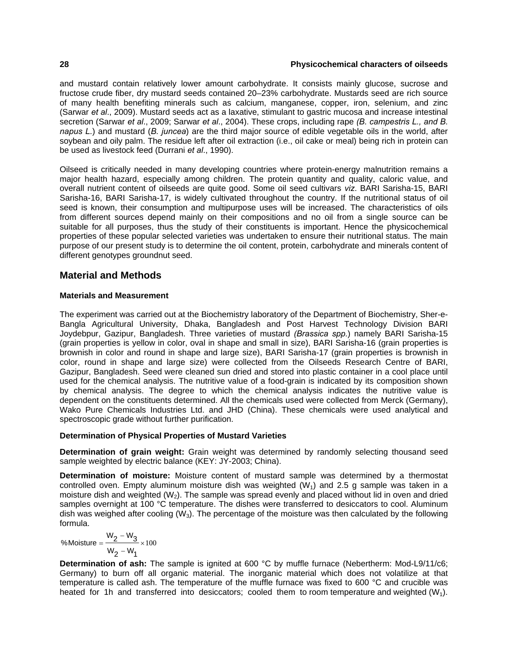and mustard contain relatively lower amount carbohydrate. It consists mainly glucose, sucrose and fructose crude fiber, dry mustard seeds contained 20–23% carbohydrate. Mustards seed are rich source of many health benefiting minerals such as calcium, manganese, copper, iron, selenium, and zinc (Sarwar *et al*., 2009). Mustard seeds act as a laxative, stimulant to gastric mucosa and increase intestinal secretion (Sarwar *et al*., 2009; Sarwar *et al*., 2004). These crops, including rape *(B. campestris L., and B. napus L.*) and mustard (*B. juncea*) are the third major source of edible vegetable oils in the world, after soybean and oily palm. The residue left after oil extraction (i.e., oil cake or meal) being rich in protein can be used as livestock feed (Durrani *et al*., 1990).

Oilseed is critically needed in many developing countries where protein-energy malnutrition remains a major health hazard, especially among children. The protein quantity and quality, caloric value, and overall nutrient content of oilseeds are quite good. Some oil seed cultivars *viz*. BARI Sarisha-15, BARI Sarisha-16, BARI Sarisha-17, is widely cultivated throughout the country. If the nutritional status of oil seed is known, their consumption and multipurpose uses will be increased. The characteristics of oils from different sources depend mainly on their compositions and no oil from a single source can be suitable for all purposes, thus the study of their constituents is important. Hence the physicochemical properties of these popular selected varieties was undertaken to ensure their nutritional status. The main purpose of our present study is to determine the oil content, protein, carbohydrate and minerals content of different genotypes groundnut seed.

## **Material and Methods**

#### **Materials and Measurement**

The experiment was carried out at the Biochemistry laboratory of the Department of Biochemistry, Sher-e-Bangla Agricultural University, Dhaka, Bangladesh and Post Harvest Technology Division BARI Joydebpur, Gazipur, Bangladesh. Three varieties of mustard *(Brassica spp.*) namely BARI Sarisha-15 (grain properties is yellow in color, oval in shape and small in size), BARI Sarisha-16 (grain properties is brownish in color and round in shape and large size), BARI Sarisha-17 (grain properties is brownish in color, round in shape and large size) were collected from the Oilseeds Research Centre of BARI, Gazipur, Bangladesh. Seed were cleaned sun dried and stored into plastic container in a cool place until used for the chemical analysis. The nutritive value of a food-grain is indicated by its composition shown by chemical analysis. The degree to which the chemical analysis indicates the nutritive value is dependent on the constituents determined. All the chemicals used were collected from Merck (Germany), Wako Pure Chemicals Industries Ltd. and JHD (China). These chemicals were used analytical and spectroscopic grade without further purification.

#### **Determination of Physical Properties of Mustard Varieties**

**Determination of grain weight:** Grain weight was determined by randomly selecting thousand seed sample weighted by electric balance (KEY: JY-2003; China).

**Determination of moisture:** Moisture content of mustard sample was determined by a thermostat controlled oven. Empty aluminum moisture dish was weighted  $(W<sub>1</sub>)$  and 2.5 g sample was taken in a moisture dish and weighted (W2). The sample was spread evenly and placed without lid in oven and dried samples overnight at 100 °C temperature. The dishes were transferred to desiccators to cool. Aluminum dish was weighed after cooling  $(W_3)$ . The percentage of the moisture was then calculated by the following formula.

$$
\% \text{Moisture} = \frac{W_2 - W_3}{W_2 - W_1} \times 100
$$

**Determination of ash:** The sample is ignited at 600 °C by muffle furnace (Nebertherm: Mod-L9/11/c6; Germany) to burn off all organic material. The inorganic material which does not volatilize at that temperature is called ash. The temperature of the muffle furnace was fixed to 600 °C and crucible was heated for 1h and transferred into desiccators; cooled them to room temperature and weighted  $(W_1)$ .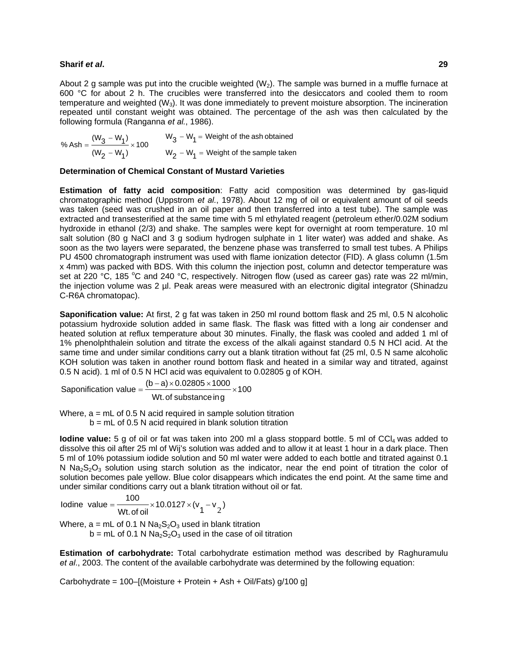About 2 g sample was put into the crucible weighted  $(W<sub>2</sub>)$ . The sample was burned in a muffle furnace at 600 °C for about 2 h. The crucibles were transferred into the desiccators and cooled them to room temperature and weighted  $(W_3)$ . It was done immediately to prevent moisture absorption. The incineration repeated until constant weight was obtained. The percentage of the ash was then calculated by the following formula (Ranganna *et al.*, 1986).

| % Ash = $\frac{(W_3 - W_1)}{W_3}$ × 100 | $W_3 - W_1$ = Weight of the ash obtained |
|-----------------------------------------|------------------------------------------|
| $(W_2 - W_1)$                           | $W_2 - W_1$ = Weight of the sample taken |

#### **Determination of Chemical Constant of Mustard Varieties**

**Estimation of fatty acid composition**: Fatty acid composition was determined by gas-liquid chromatographic method (Uppstrom *et al.*, 1978). About 12 mg of oil or equivalent amount of oil seeds was taken (seed was crushed in an oil paper and then transferred into a test tube). The sample was extracted and transesterified at the same time with 5 ml ethylated reagent (petroleum ether/0.02M sodium hydroxide in ethanol (2/3) and shake. The samples were kept for overnight at room temperature. 10 ml salt solution (80 g NaCl and 3 g sodium hydrogen sulphate in 1 liter water) was added and shake. As soon as the two layers were separated, the benzene phase was transferred to small test tubes. A Philips PU 4500 chromatograph instrument was used with flame ionization detector (FID). A glass column (1.5m x 4mm) was packed with BDS. With this column the injection post, column and detector temperature was set at 220 °C, 185 °C and 240 °C, respectively. Nitrogen flow (used as career gas) rate was 22 ml/min, the injection volume was 2 µl. Peak areas were measured with an electronic digital integrator (Shinadzu C-R6A chromatopac).

**Saponification value:** At first, 2 g fat was taken in 250 ml round bottom flask and 25 ml, 0.5 N alcoholic potassium hydroxide solution added in same flask. The flask was fitted with a long air condenser and heated solution at reflux temperature about 30 minutes. Finally, the flask was cooled and added 1 ml of 1% phenolphthalein solution and titrate the excess of the alkali against standard 0.5 N HCl acid. At the same time and under similar conditions carry out a blank titration without fat (25 ml, 0.5 N same alcoholic KOH solution was taken in another round bottom flask and heated in a similar way and titrated, against 0.5 N acid). 1 ml of 0.5 N HCl acid was equivalent to 0.02805 g of KOH.

100 Wt.of substanceing Saponification value =  $\frac{(b - a) \times 0.02805 \times 1000}{x}$ 

Where,  $a = mL$  of 0.5 N acid required in sample solution titration  $b = mL$  of 0.5 N acid required in blank solution titration

**Iodine value:** 5 g of oil or fat was taken into 200 ml a glass stoppard bottle. 5 ml of CCl<sub>4</sub> was added to dissolve this oil after 25 ml of Wij's solution was added and to allow it at least 1 hour in a dark place. Then 5 ml of 10% potassium iodide solution and 50 ml water were added to each bottle and titrated against 0.1 N Na<sub>2</sub>S<sub>2</sub>O<sub>3</sub> solution using starch solution as the indicator, near the end point of titration the color of solution becomes pale yellow. Blue color disappears which indicates the end point. At the same time and under similar conditions carry out a blank titration without oil or fat.

 $\frac{188}{1000}$  × 10.0127 × (v<sub>1</sub> – v<sub>2</sub>)  $Iodine value = \frac{100}{Wt_0f_0} \times 10.0127 \times (v_1 - v_2)$ 

Where,  $a = mL$  of 0.1 N  $Na<sub>2</sub>S<sub>2</sub>O<sub>3</sub>$  used in blank titration  $b = mL$  of 0.1 N Na<sub>2</sub>S<sub>2</sub>O<sub>3</sub> used in the case of oil titration

**Estimation of carbohydrate:** Total carbohydrate estimation method was described by Raghuramulu *et al*., 2003. The content of the available carbohydrate was determined by the following equation:

Carbohydrate = 100–[(Moisture + Protein + Ash + Oil/Fats) g/100 g]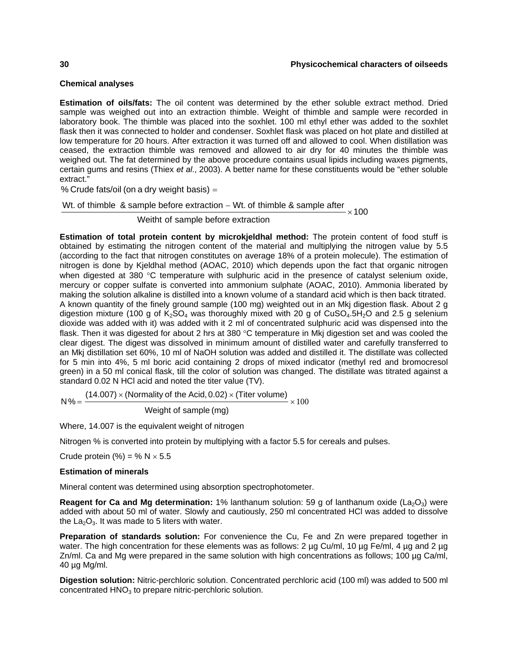## **Chemical analyses**

**Estimation of oils/fats:** The oil content was determined by the ether soluble extract method. Dried sample was weighed out into an extraction thimble. Weight of thimble and sample were recorded in laboratory book. The thimble was placed into the soxhlet. 100 ml ethyl ether was added to the soxhlet flask then it was connected to holder and condenser. Soxhlet flask was placed on hot plate and distilled at low temperature for 20 hours. After extraction it was turned off and allowed to cool. When distillation was ceased, the extraction thimble was removed and allowed to air dry for 40 minutes the thimble was weighed out. The fat determined by the above procedure contains usual lipids including waxes pigments, certain gums and resins (Thiex *et al*., 2003). A better name for these constituents would be "ether soluble extract."

% Crude fats/oil (on a dry weight basis) =

Wt. of thimble & sample before extraction – Wt. of thimble & sample after  $\times$  100

Weitht of sample before extraction

**Estimation of total protein content by microkjeldhal method:** The protein content of food stuff is obtained by estimating the nitrogen content of the material and multiplying the nitrogen value by 5.5 (according to the fact that nitrogen constitutes on average 18% of a protein molecule). The estimation of nitrogen is done by Kjeldhal method (AOAC, 2010) which depends upon the fact that organic nitrogen when digested at 380 °C temperature with sulphuric acid in the presence of catalyst selenium oxide, mercury or copper sulfate is converted into ammonium sulphate (AOAC, 2010). Ammonia liberated by making the solution alkaline is distilled into a known volume of a standard acid which is then back titrated. A known quantity of the finely ground sample (100 mg) weighted out in an Mkj digestion flask. About 2 g digestion mixture (100 g of  $K_2SO_4$  was thoroughly mixed with 20 g of CuSO<sub>4</sub>.5H<sub>2</sub>O and 2.5 g selenium dioxide was added with it) was added with it 2 ml of concentrated sulphuric acid was dispensed into the flask. Then it was digested for about 2 hrs at 380 °C temperature in Mkj digestion set and was cooled the clear digest. The digest was dissolved in minimum amount of distilled water and carefully transferred to an Mkj distillation set 60%, 10 ml of NaOH solution was added and distilled it. The distillate was collected for 5 min into 4%, 5 ml boric acid containing 2 drops of mixed indicator (methyl red and bromocresol green) in a 50 ml conical flask, till the color of solution was changed. The distillate was titrated against a standard 0.02 N HCl acid and noted the titer value (TV).

 $N\% = \frac{(14.007)\times(Normality of the Acid, 0.02)\times(Titer volume)}{N\%} \times 100$ 

Weight of sample (mg)

Where, 14.007 is the equivalent weight of nitrogen

Nitrogen % is converted into protein by multiplying with a factor 5.5 for cereals and pulses.

Crude protein (%) = %  $N \times 5.5$ 

#### **Estimation of minerals**

Mineral content was determined using absorption spectrophotometer.

**Reagent for Ca and Mg determination:** 1% lanthanum solution: 59 g of lanthanum oxide (La<sub>2</sub>O<sub>3</sub>) were added with about 50 ml of water. Slowly and cautiously, 250 ml concentrated HCl was added to dissolve the  $La<sub>2</sub>O<sub>3</sub>$ . It was made to 5 liters with water.

**Preparation of standards solution:** For convenience the Cu, Fe and Zn were prepared together in water. The high concentration for these elements was as follows: 2 µg Cu/ml, 10 µg Fe/ml, 4 µg and 2 µg Zn/ml. Ca and Mg were prepared in the same solution with high concentrations as follows; 100 µg Ca/ml, 40 µg Mg/ml.

**Digestion solution:** Nitric-perchloric solution. Concentrated perchloric acid (100 ml) was added to 500 ml concentrated HNO<sub>3</sub> to prepare nitric-perchloric solution.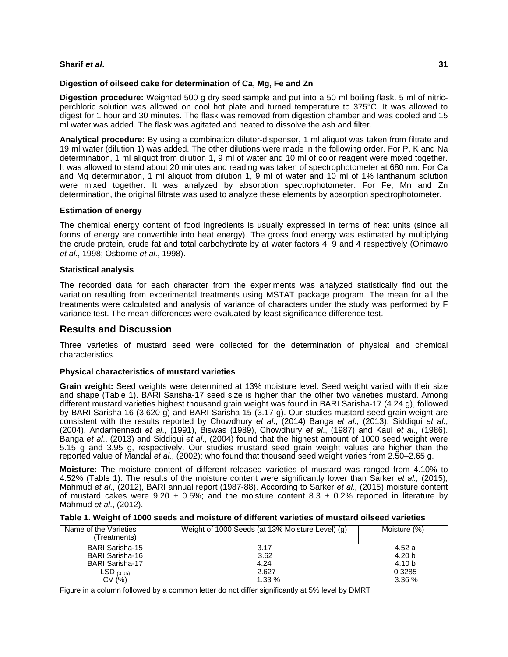#### **Digestion of oilseed cake for determination of Ca, Mg, Fe and Zn**

**Digestion procedure:** Weighted 500 g dry seed sample and put into a 50 ml boiling flask. 5 ml of nitricperchloric solution was allowed on cool hot plate and turned temperature to 375°C. It was allowed to digest for 1 hour and 30 minutes. The flask was removed from digestion chamber and was cooled and 15 ml water was added. The flask was agitated and heated to dissolve the ash and filter.

**Analytical procedure:** By using a combination diluter-dispenser, 1 ml aliquot was taken from filtrate and 19 ml water (dilution 1) was added. The other dilutions were made in the following order. For P, K and Na determination, 1 ml aliquot from dilution 1, 9 ml of water and 10 ml of color reagent were mixed together. It was allowed to stand about 20 minutes and reading was taken of spectrophotometer at 680 nm. For Ca and Mg determination, 1 ml aliquot from dilution 1, 9 ml of water and 10 ml of 1% lanthanum solution were mixed together. It was analyzed by absorption spectrophotometer. For Fe, Mn and Zn determination, the original filtrate was used to analyze these elements by absorption spectrophotometer.

#### **Estimation of energy**

The chemical energy content of food ingredients is usually expressed in terms of heat units (since all forms of energy are convertible into heat energy). The gross food energy was estimated by multiplying the crude protein, crude fat and total carbohydrate by at water factors 4, 9 and 4 respectively (Onimawo *et al*., 1998; Osborne *et al*., 1998).

#### **Statistical analysis**

The recorded data for each character from the experiments was analyzed statistically find out the variation resulting from experimental treatments using MSTAT package program. The mean for all the treatments were calculated and analysis of variance of characters under the study was performed by F variance test. The mean differences were evaluated by least significance difference test.

### **Results and Discussion**

Three varieties of mustard seed were collected for the determination of physical and chemical characteristics.

#### **Physical characteristics of mustard varieties**

**Grain weight:** Seed weights were determined at 13% moisture level. Seed weight varied with their size and shape (Table 1). BARI Sarisha-17 seed size is higher than the other two varieties mustard. Among different mustard varieties highest thousand grain weight was found in BARI Sarisha-17 (4.24 g), followed by BARI Sarisha-16 (3.620 g) and BARI Sarisha-15 (3.17 g). Our studies mustard seed grain weight are consistent with the results reported by Chowdhury *et al*., (2014) Banga *et al*., (2013), Siddiqui *et al*., (2004), Andarhennadi *et al*., (1991), Biswas (1989), Chowdhury *et al*., (1987) and Kaul *et al*., (1986). Banga *et al*., (2013) and Siddiqui *et al*., (2004) found that the highest amount of 1000 seed weight were 5.15 g and 3.95 g, respectively. Our studies mustard seed grain weight values are higher than the reported value of Mandal *et al.*, (2002); who found that thousand seed weight varies from 2.50–2.65 g.

**Moisture:** The moisture content of different released varieties of mustard was ranged from 4.10% to 4.52% (Table 1). The results of the moisture content were significantly lower than Sarker *et al.,* (2015), Mahmud *et al.,* (2012), BARI annual report (1987-88). According to Sarker *et al.,* (2015) moisture content of mustard cakes were 9.20  $\pm$  0.5%; and the moisture content 8.3  $\pm$  0.2% reported in literature by Mahmud *et al*., (2012).

| Table 1. Weight of 1000 seeds and moisture of different varieties of mustard oilseed varieties |  |
|------------------------------------------------------------------------------------------------|--|
|------------------------------------------------------------------------------------------------|--|

| Name of the Varieties<br>(Treatments) | Weight of 1000 Seeds (at 13% Moisture Level) (g) | Moisture (%)      |
|---------------------------------------|--------------------------------------------------|-------------------|
| BARI Sarisha-15                       | 3.17                                             | 4.52 a            |
| BARI Sarisha-16                       | 3.62                                             | 4.20 <sub>b</sub> |
| <b>BARI Sarisha-17</b>                | 4.24                                             | 4.10 <sub>b</sub> |
| $LSD_{(0.05)}$                        | 2.627                                            | 0.3285            |
| CV (%)                                | 1.33%                                            | 3.36%             |

Figure in a column followed by a common letter do not differ significantly at 5% level by DMRT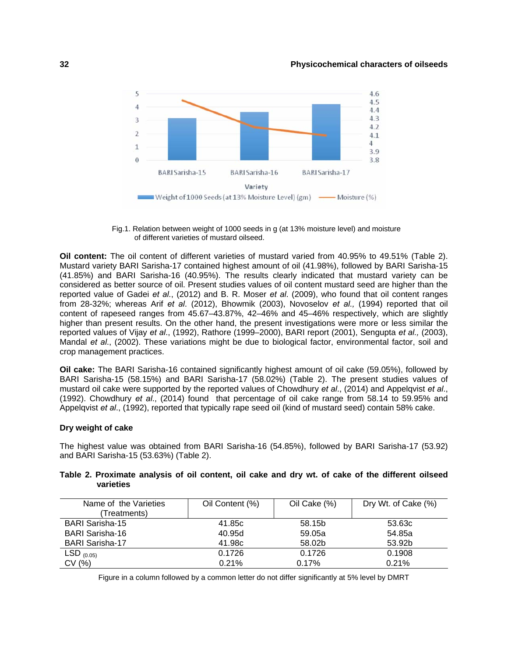

Fig.1. Relation between weight of 1000 seeds in g (at 13% moisture level) and moisture of different varieties of mustard oilseed.

**Oil content:** The oil content of different varieties of mustard varied from 40.95% to 49.51% (Table 2). Mustard variety BARI Sarisha-17 contained highest amount of oil (41.98%), followed by BARI Sarisha-15 (41.85%) and BARI Sarisha-16 (40.95%). The results clearly indicated that mustard variety can be considered as better source of oil. Present studies values of oil content mustard seed are higher than the reported value of Gadei *et al.*, (2012) and B. R. Moser *et al*. (2009), who found that oil content ranges from 28-32%; whereas Arif *et al*. (2012), Bhowmik (2003), Novoselov *et al.,* (1994) reported that oil content of rapeseed ranges from 45.67–43.87%, 42–46% and 45–46% respectively, which are slightly higher than present results. On the other hand, the present investigations were more or less similar the reported values of Vijay *et al*., (1992), Rathore (1999–2000), BARI report (2001), Sengupta *et al.,* (2003), Mandal *et al*., (2002). These variations might be due to biological factor, environmental factor, soil and crop management practices.

**Oil cake:** The BARI Sarisha-16 contained significantly highest amount of oil cake (59.05%), followed by BARI Sarisha-15 (58.15%) and BARI Sarisha-17 (58.02%) (Table 2). The present studies values of mustard oil cake were supported by the reported values of Chowdhury *et al*., (2014) and Appelqvist *et al*., (1992). Chowdhury *et al*., (2014) found that percentage of oil cake range from 58.14 to 59.95% and Appelqvist *et al*., (1992), reported that typically rape seed oil (kind of mustard seed) contain 58% cake.

#### **Dry weight of cake**

The highest value was obtained from BARI Sarisha-16 (54.85%), followed by BARI Sarisha-17 (53.92) and BARI Sarisha-15 (53.63%) (Table 2).

#### **Table 2. Proximate analysis of oil content, oil cake and dry wt. of cake of the different oilseed varieties**

| Name of the Varieties<br>(Treatments) | Oil Content (%) | Oil Cake (%) | Dry Wt. of Cake (%) |
|---------------------------------------|-----------------|--------------|---------------------|
| <b>BARI Sarisha-15</b>                | 41.85c          | 58.15b       | 53.63c              |
| <b>BARI Sarisha-16</b>                | 40.95d          | 59.05a       | 54.85a              |
| <b>BARI Sarisha-17</b>                | 41.98c          | 58.02b       | 53.92b              |
| $LSD_{(0.05)}$                        | 0.1726          | 0.1726       | 0.1908              |
| CV(%)                                 | 0.21%           | 0.17%        | 0.21%               |

Figure in a column followed by a common letter do not differ significantly at 5% level by DMRT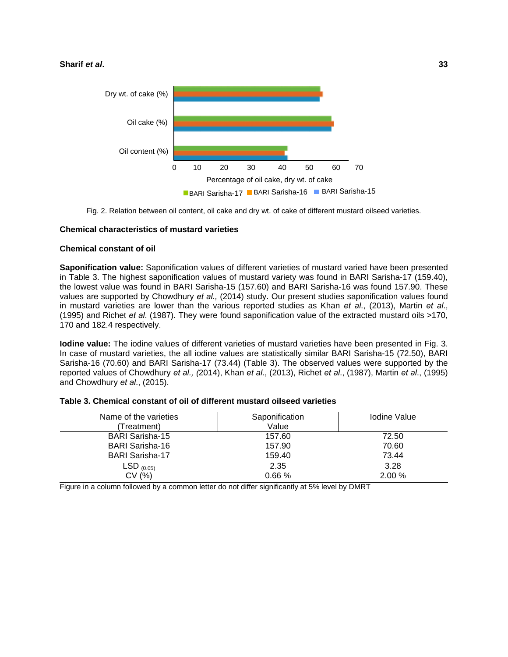

Fig. 2. Relation between oil content, oil cake and dry wt. of cake of different mustard oilseed varieties.

### **Chemical characteristics of mustard varieties**

#### **Chemical constant of oil**

**Saponification value:** Saponification values of different varieties of mustard varied have been presented in Table 3. The highest saponification values of mustard variety was found in BARI Sarisha-17 (159.40), the lowest value was found in BARI Sarisha-15 (157.60) and BARI Sarisha-16 was found 157.90. These values are supported by Chowdhury *et al.,* (2014) study. Our present studies saponification values found in mustard varieties are lower than the various reported studies as Khan *et al*., (2013), Martin *et al*., (1995) and Richet *et al*. (1987). They were found saponification value of the extracted mustard oils >170, 170 and 182.4 respectively.

**Iodine value:** The iodine values of different varieties of mustard varieties have been presented in Fig. 3. In case of mustard varieties, the all iodine values are statistically similar BARI Sarisha-15 (72.50), BARI Sarisha-16 (70.60) and BARI Sarisha-17 (73.44) (Table 3). The observed values were supported by the reported values of Chowdhury *et al., (*2014), Khan *et al*., (2013), Richet *et al*., (1987), Martin *et al*., (1995) and Chowdhury *et al*., (2015).

## **Table 3. Chemical constant of oil of different mustard oilseed varieties**

| Name of the varieties  | Saponification | <b>Iodine Value</b> |
|------------------------|----------------|---------------------|
| Treatment)             | Value          |                     |
| <b>BARI Sarisha-15</b> | 157.60         | 72.50               |
| <b>BARI Sarisha-16</b> | 157.90         | 70.60               |
| <b>BARI Sarisha-17</b> | 159.40         | 73.44               |
| $LSD_{(0.05)}$         | 2.35           | 3.28                |
| CV(%)                  | 0.66%          | 2.00%               |

Figure in a column followed by a common letter do not differ significantly at 5% level by DMRT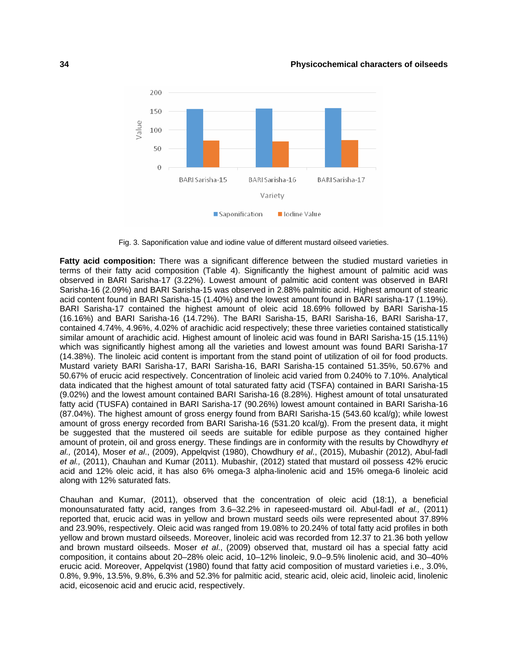

Fig. 3. Saponification value and iodine value of different mustard oilseed varieties.

**Fatty acid composition:** There was a significant difference between the studied mustard varieties in terms of their fatty acid composition (Table 4). Significantly the highest amount of palmitic acid was observed in BARI Sarisha-17 (3.22%). Lowest amount of palmitic acid content was observed in BARI Sarisha-16 (2.09%) and BARI Sarisha-15 was observed in 2.88% palmitic acid. Highest amount of stearic acid content found in BARI Sarisha-15 (1.40%) and the lowest amount found in BARI sarisha-17 (1.19%). BARI Sarisha-17 contained the highest amount of oleic acid 18.69% followed by BARI Sarisha-15 (16.16%) and BARI Sarisha-16 (14.72%). The BARI Sarisha-15, BARI Sarisha-16, BARI Sarisha-17, contained 4.74%, 4.96%, 4.02% of arachidic acid respectively; these three varieties contained statistically similar amount of arachidic acid. Highest amount of linoleic acid was found in BARI Sarisha-15 (15.11%) which was significantly highest among all the varieties and lowest amount was found BARI Sarisha-17 (14.38%). The linoleic acid content is important from the stand point of utilization of oil for food products. Mustard variety BARI Sarisha-17, BARI Sarisha-16, BARI Sarisha-15 contained 51.35%, 50.67% and 50.67% of erucic acid respectively. Concentration of linoleic acid varied from 0.240% to 7.10%. Analytical data indicated that the highest amount of total saturated fatty acid (TSFA) contained in BARI Sarisha-15 (9.02%) and the lowest amount contained BARI Sarisha-16 (8.28%). Highest amount of total unsaturated fatty acid (TUSFA) contained in BARI Sarisha-17 (90.26%) lowest amount contained in BARI Sarisha-16 (87.04%). The highest amount of gross energy found from BARI Sarisha-15 (543.60 kcal/g); while lowest amount of gross energy recorded from BARI Sarisha-16 (531.20 kcal/g). From the present data, it might be suggested that the mustered oil seeds are suitable for edible purpose as they contained higher amount of protein, oil and gross energy. These findings are in conformity with the results by Chowdhyry *et al.,* (2014), Moser *et al*., (2009), Appelqvist (1980), Chowdhury *et al*., (2015), Mubashir (2012), Abul-fadl *et al.,* (2011), Chauhan and Kumar (2011). Mubashir, (2012) stated that mustard oil possess 42% erucic acid and 12% oleic acid, it has also 6% omega-3 alpha-linolenic acid and 15% omega-6 linoleic acid along with 12% saturated fats.

Chauhan and Kumar, (2011), observed that the concentration of oleic acid (18:1), a beneficial monounsaturated fatty acid, ranges from 3.6–32.2% in rapeseed-mustard oil. Abul-fadl *et al.,* (2011) reported that, erucic acid was in yellow and brown mustard seeds oils were represented about 37.89% and 23.90%, respectively. Oleic acid was ranged from 19.08% to 20.24% of total fatty acid profiles in both yellow and brown mustard oilseeds. Moreover, linoleic acid was recorded from 12.37 to 21.36 both yellow and brown mustard oilseeds. Moser *et al*., (2009) observed that, mustard oil has a special fatty acid composition, it contains about 20–28% oleic acid, 10–12% linoleic, 9.0–9.5% linolenic acid, and 30–40% erucic acid. Moreover, Appelqvist (1980) found that fatty acid composition of mustard varieties i.e., 3.0%, 0.8%, 9.9%, 13.5%, 9.8%, 6.3% and 52.3% for palmitic acid, stearic acid, oleic acid, linoleic acid, linolenic acid, eicosenoic acid and erucic acid, respectively.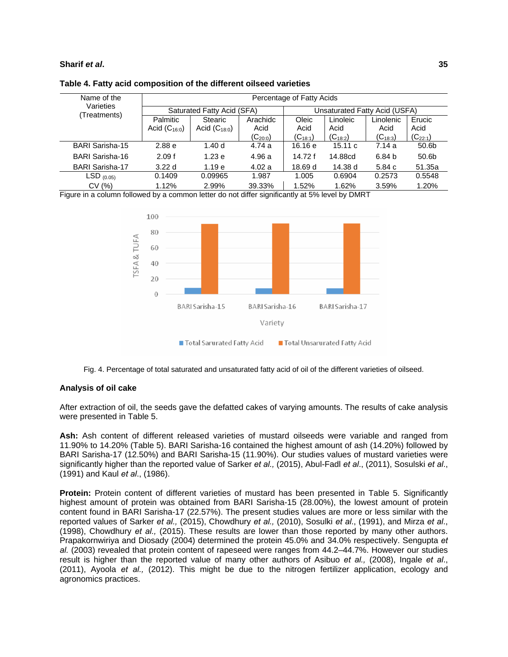| Name of the            |                   |                   | Percentage of Fatty Acids  |              |                               |                   |              |
|------------------------|-------------------|-------------------|----------------------------|--------------|-------------------------------|-------------------|--------------|
| Varieties              |                   |                   | Saturated Fatty Acid (SFA) |              | Unsaturated Fatty Acid (USFA) |                   |              |
| (Treatments)           | Palmitic          | Stearic           | Arachidc                   | Oleic        | Linoleic                      | Linolenic         | Erucic       |
|                        | Acid $(C_{16:0})$ | Acid $(C_{18:0})$ | Acid                       | Acid         | Acid                          | Acid              | Acid         |
|                        |                   |                   | $(C_{20:0})$               | $(C_{18:1})$ | $(C_{18:2})$                  | $(C_{18:3})$      | $(C_{22:1})$ |
| <b>BARI Sarisha-15</b> | 2.88e             | 1.40 <sub>d</sub> | 4.74 a                     | 16.16 e      | 15.11c                        | 7.14a             | 50.6b        |
| BARI Sarisha-16        | 2.09f             | 1.23 e            | 4.96a                      | 14.72 f      | 14.88cd                       | 6.84 <sub>b</sub> | 50.6b        |
| <b>BARI Sarisha-17</b> | 3.22d             | 1.19e             | 4.02a                      | 18.69 d      | 14.38 d                       | 5.84 c            | 51.35a       |
| $LSD_{(0.05)}$         | 0.1409            | 0.09965           | 1.987                      | 1.005        | 0.6904                        | 0.2573            | 0.5548       |
| CV(%)                  | 1.12%             | 2.99%             | 39.33%                     | 1.52%        | 1.62%                         | 3.59%             | 1.20%        |

**Table 4. Fatty acid composition of the different oilseed varieties** 

Figure in a column followed by a common letter do not differ significantly at 5% level by DMRT



Fig. 4. Percentage of total saturated and unsaturated fatty acid of oil of the different varieties of oilseed.

#### **Analysis of oil cake**

After extraction of oil, the seeds gave the defatted cakes of varying amounts. The results of cake analysis were presented in Table 5.

**Ash:** Ash content of different released varieties of mustard oilseeds were variable and ranged from 11.90% to 14.20% (Table 5). BARI Sarisha-16 contained the highest amount of ash (14.20%) followed by BARI Sarisha-17 (12.50%) and BARI Sarisha-15 (11.90%). Our studies values of mustard varieties were significantly higher than the reported value of Sarker *et al.,* (2015), Abul-Fadl *et al*., (2011), Sosulski *et al*., (1991) and Kaul *et al*., (1986).

**Protein:** Protein content of different varieties of mustard has been presented in Table 5. Significantly highest amount of protein was obtained from BARI Sarisha-15 (28.00%), the lowest amount of protein content found in BARI Sarisha-17 (22.57%). The present studies values are more or less similar with the reported values of Sarker *et al.,* (2015), Chowdhury *et al.,* (2010), Sosulki *et al*., (1991), and Mirza *et al*., (1998), Chowdhury *et al.,* (2015). These results are lower than those reported by many other authors. Prapakornwiriya and Diosady (2004) determined the protein 45.0% and 34.0% respectively. Sengupta *et al.* (2003) revealed that protein content of rapeseed were ranges from 44.2–44.7%. However our studies result is higher than the reported value of many other authors of Asibuo *et al.,* (2008), Ingale *et al*., (2011), Ayoola *et al.,* (2012). This might be due to the nitrogen fertilizer application, ecology and agronomics practices.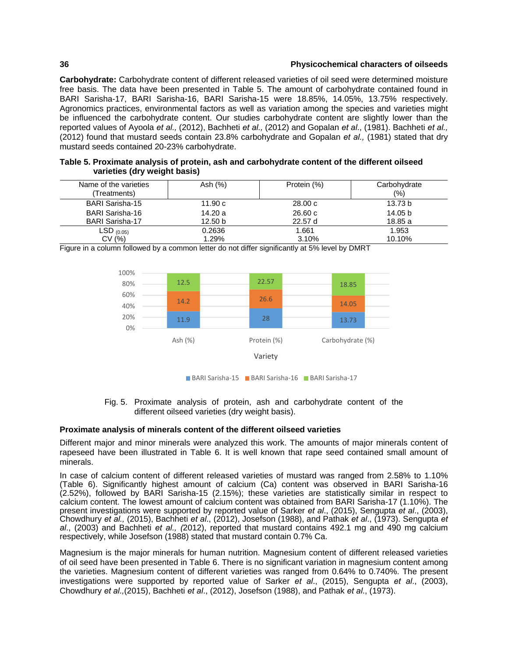**Carbohydrate:** Carbohydrate content of different released varieties of oil seed were determined moisture free basis. The data have been presented in Table 5. The amount of carbohydrate contained found in BARI Sarisha-17, BARI Sarisha-16, BARI Sarisha-15 were 18.85%, 14.05%, 13.75% respectively. Agronomics practices, environmental factors as well as variation among the species and varieties might be influenced the carbohydrate content. Our studies carbohydrate content are slightly lower than the reported values of Ayoola *et al.,* (2012), Bachheti *et al.,* (2012) and Gopalan *et al*., (1981). Bachheti *et al.,*  (2012) found that mustard seeds contain 23.8% carbohydrate and Gopalan *et al.,* (1981) stated that dry mustard seeds contained 20-23% carbohydrate.

|                              | Table 5. Proximate analysis of protein, ash and carbohydrate content of the different oilseed |
|------------------------------|-----------------------------------------------------------------------------------------------|
| varieties (dry weight basis) |                                                                                               |

| Name of the varieties<br>(Treatments) | Ash (%)   | Protein (%) | Carbohydrate<br>(% ) |
|---------------------------------------|-----------|-------------|----------------------|
| <b>BARI Sarisha-15</b>                | 11.90 с   | 28.00c      | 13.73 b              |
| BARI Sarisha-16                       | 14.20 $a$ | 26.60c      | 14.05 b              |
| <b>BARI Sarisha-17</b>                | 12.50 b   | 22.57d      | 18.85 a              |
| $LSD$ (0.05)                          | 0.2636    | 1.661       | 1.953                |
| CV (%)                                | 1.29%     | 3.10%       | 10.10%               |

Figure in a column followed by a common letter do not differ significantly at 5% level by DMRT



■ BARI Sarisha-15 ■ BARI Sarisha-16 ■ BARI Sarisha-17

Fig. 5. Proximate analysis of protein, ash and carbohydrate content of the different oilseed varieties (dry weight basis).

#### **Proximate analysis of minerals content of the different oilseed varieties**

Different major and minor minerals were analyzed this work. The amounts of major minerals content of rapeseed have been illustrated in Table 6. It is well known that rape seed contained small amount of minerals.

In case of calcium content of different released varieties of mustard was ranged from 2.58% to 1.10% (Table 6). Significantly highest amount of calcium (Ca) content was observed in BARI Sarisha-16 (2.52%), followed by BARI Sarisha-15 (2.15%); these varieties are statistically similar in respect to calcium content. The lowest amount of calcium content was obtained from BARI Sarisha-17 (1.10%). The present investigations were supported by reported value of Sarker *et al*., (2015), Sengupta *et al*., (2003), Chowdhury *et al.,* (2015), Bachheti *et al*., (2012), Josefson (1988), and Pathak *et al*., (1973). Sengupta *et al*., (2003) and Bachheti *et al., (*2012), reported that mustard contains 492.1 mg and 490 mg calcium respectively, while Josefson (1988) stated that mustard contain 0.7% Ca.

Magnesium is the major minerals for human nutrition. Magnesium content of different released varieties of oil seed have been presented in Table 6. There is no significant variation in magnesium content among the varieties. Magnesium content of different varieties was ranged from 0.64% to 0.740%. The present investigations were supported by reported value of Sarker *et al*., (2015), Sengupta *et al*., (2003), Chowdhury *et al.,*(2015), Bachheti *et al*., (2012), Josefson (1988), and Pathak *et al*., (1973).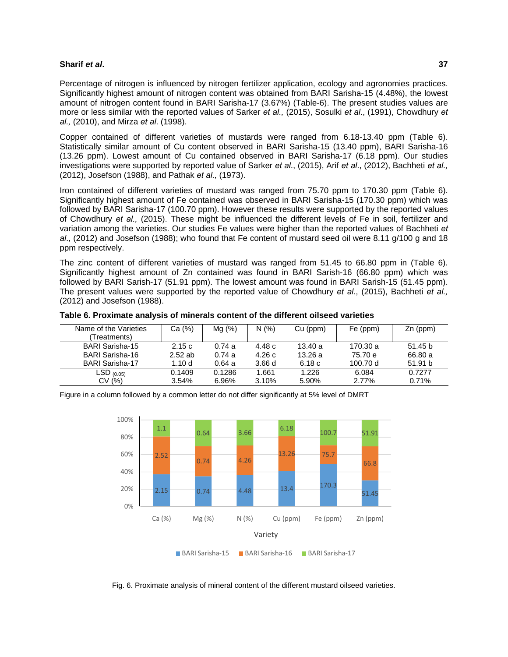Percentage of nitrogen is influenced by nitrogen fertilizer application, ecology and agronomies practices. Significantly highest amount of nitrogen content was obtained from BARI Sarisha-15 (4.48%), the lowest amount of nitrogen content found in BARI Sarisha-17 (3.67%) (Table-6). The present studies values are more or less similar with the reported values of Sarker *et al.,* (2015), Sosulki *et al*., (1991), Chowdhury *et al.,* (2010), and Mirza *et al*. (1998).

Copper contained of different varieties of mustards were ranged from 6.18-13.40 ppm (Table 6). Statistically similar amount of Cu content observed in BARI Sarisha-15 (13.40 ppm), BARI Sarisha-16 (13.26 ppm). Lowest amount of Cu contained observed in BARI Sarisha-17 (6.18 ppm). Our studies investigations were supported by reported value of Sarker *et al*., (2015), Arif *et al*., (2012), Bachheti *et al.,*  (2012), Josefson (1988), and Pathak *et al.,* (1973).

Iron contained of different varieties of mustard was ranged from 75.70 ppm to 170.30 ppm (Table 6). Significantly highest amount of Fe contained was observed in BARI Sarisha-15 (170.30 ppm) which was followed by BARI Sarisha-17 (100.70 ppm). However these results were supported by the reported values of Chowdhury *et al.,* (2015). These might be influenced the different levels of Fe in soil, fertilizer and variation among the varieties. Our studies Fe values were higher than the reported values of Bachheti *et al*., (2012) and Josefson (1988); who found that Fe content of mustard seed oil were 8.11 g/100 g and 18 ppm respectively.

The zinc content of different varieties of mustard was ranged from 51.45 to 66.80 ppm in (Table 6). Significantly highest amount of Zn contained was found in BARI Sarish-16 (66.80 ppm) which was followed by BARI Sarish-17 (51.91 ppm). The lowest amount was found in BARI Sarish-15 (51.45 ppm). The present values were supported by the reported value of Chowdhury *et al*., (2015), Bachheti *et al.,*  (2012) and Josefson (1988).

| Name of the Varieties<br>(Treatments) | Ca (%)    | Mq(%)  | N(% ) | Cu (ppm) | Fe (ppm) | $Zn$ (ppm) |
|---------------------------------------|-----------|--------|-------|----------|----------|------------|
| BARI Sarisha-15                       | 2.15c     | 0.74a  | 4.48c | 13.40a   | 170.30 a | 51.45 b    |
| BARI Sarisha-16                       | $2.52$ ab | 0.74a  | 4.26c | 13.26 a  | 75.70 e  | 66.80 a    |
| <b>BARI Sarisha-17</b>                | 1.10 d    | 0.64a  | 3.66d | 6.18c    | 100.70 d | 51.91 b    |
| $LSD$ (0.05)                          | 0.1409    | 0.1286 | .661  | 1.226    | 6.084    | 0.7277     |
| CV (%)                                | 3.54%     | 6.96%  | 3.10% | 5.90%    | 2.77%    | 0.71%      |

**Table 6. Proximate analysis of minerals content of the different oilseed varieties** 

Figure in a column followed by a common letter do not differ significantly at 5% level of DMRT



Fig. 6. Proximate analysis of mineral content of the different mustard oilseed varieties.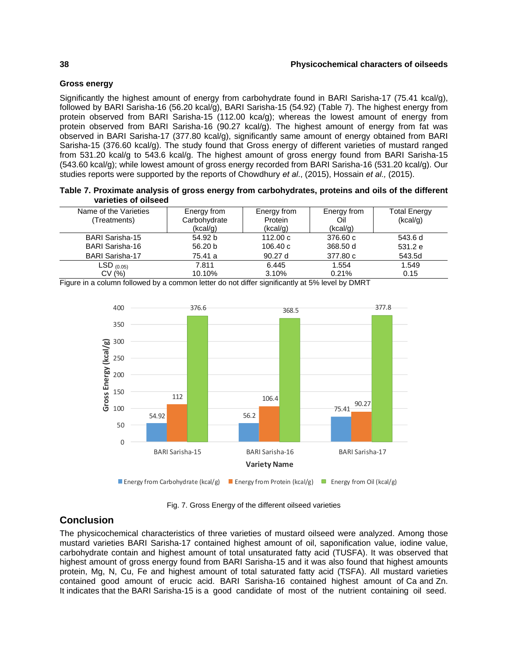#### **Gross energy**

Significantly the highest amount of energy from carbohydrate found in BARI Sarisha-17 (75.41 kcal/g), followed by BARI Sarisha-16 (56.20 kcal/g), BARI Sarisha-15 (54.92) (Table 7). The highest energy from protein observed from BARI Sarisha-15 (112.00 kca/g); whereas the lowest amount of energy from protein observed from BARI Sarisha-16 (90.27 kcal/g). The highest amount of energy from fat was observed in BARI Sarisha-17 (377.80 kcal/g), significantly same amount of energy obtained from BARI Sarisha-15 (376.60 kcal/g). The study found that Gross energy of different varieties of mustard ranged from 531.20 kcal/g to 543.6 kcal/g. The highest amount of gross energy found from BARI Sarisha-15 (543.60 kcal/g); while lowest amount of gross energy recorded from BARI Sarisha-16 (531.20 kcal/g). Our studies reports were supported by the reports of Chowdhury *et al*., (2015), Hossain *et al.,* (2015).

|                      | Table 7. Proximate analysis of gross energy from carbohydrates, proteins and oils of the different |  |
|----------------------|----------------------------------------------------------------------------------------------------|--|
| varieties of oilseed |                                                                                                    |  |

| Name of the Varieties<br>(Treatments) | Energy from<br>Carbohydrate | Energy from<br>Protein | Energy from<br>Oil | <b>Total Energy</b><br>(kcal/g) |
|---------------------------------------|-----------------------------|------------------------|--------------------|---------------------------------|
|                                       | (kcal/g)                    | (kcal/g)               | (kcal/q)           |                                 |
| <b>BARI Sarisha-15</b>                | 54.92 b                     | 112.00 c               | 376.60 c           | 543.6 d                         |
| <b>BARI Sarisha-16</b>                | 56.20 b                     | 106.40 c               | 368.50 d           | 531.2 e                         |
| <b>BARI Sarisha-17</b>                | 75.41 a                     | 90.27 d                | 377.80 c           | 543.5d                          |
| $LSD$ (0.05)                          | 7.811                       | 6.445                  | 1.554              | 1.549                           |
| CV(%)                                 | 10.10%                      | 3.10%                  | 0.21%              | 0.15                            |

Figure in a column followed by a common letter do not differ significantly at 5% level by DMRT



Fig. 7. Gross Energy of the different oilseed varieties

## **Conclusion**

The physicochemical characteristics of three varieties of mustard oilseed were analyzed. Among those mustard varieties BARI Sarisha-17 contained highest amount of oil, saponification value, iodine value, carbohydrate contain and highest amount of total unsaturated fatty acid (TUSFA). It was observed that highest amount of gross energy found from BARI Sarisha-15 and it was also found that highest amounts protein, Mg, N, Cu, Fe and highest amount of total saturated fatty acid (TSFA). All mustard varieties contained good amount of erucic acid. BARI Sarisha-16 contained highest amount of Ca and Zn. It indicates that the BARI Sarisha-15 is a good candidate of most of the nutrient containing oil seed.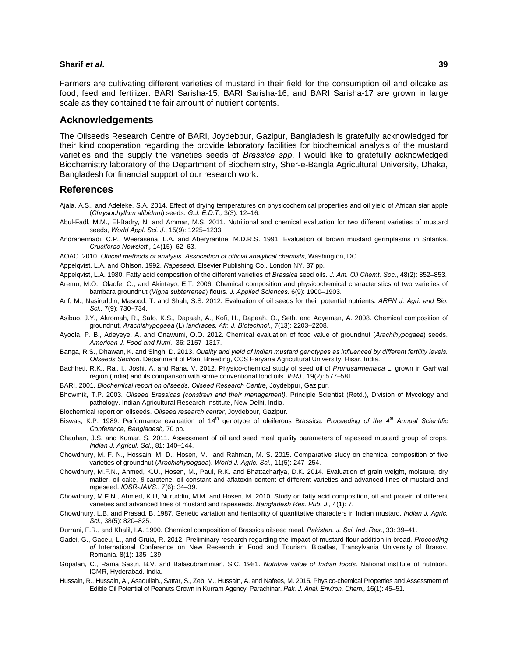Farmers are cultivating different varieties of mustard in their field for the consumption oil and oilcake as food, feed and fertilizer. BARI Sarisha-15, BARI Sarisha-16, and BARI Sarisha-17 are grown in large scale as they contained the fair amount of nutrient contents.

#### **Acknowledgements**

The Oilseeds Research Centre of BARI, Joydebpur, Gazipur, Bangladesh is gratefully acknowledged for their kind cooperation regarding the provide laboratory facilities for biochemical analysis of the mustard varieties and the supply the varieties seeds of *Brassica spp*. I would like to gratefully acknowledged Biochemistry laboratory of the Department of Biochemistry, Sher-e-Bangla Agricultural University, Dhaka, Bangladesh for financial support of our research work.

#### **References**

- Ajala, A.S., and Adeleke, S.A. 2014. Effect of drying temperatures on physicochemical properties and oil yield of African star apple (*Chrysophyllum alibidum*) seeds. *G.J. E.D.T.,* 3(3): 12–16.
- Abul-Fadl, M.M., El-Badry, N. and Ammar, M.S. 2011. Nutritional and chemical evaluation for two different varieties of mustard seeds, *World Appl. Sci. J*., 15(9): 1225–1233.
- Andrahennadi, C.P., Weerasena, L.A. and Aberyrantne, M.D.R.S. 1991. Evaluation of brown mustard germplasms in Srilanka. *Cruciferae Newslett.,* 14(15): 62–63.
- AOAC. 2010. *Official methods of analysis. Association of official analytical chemists*, Washington, DC.
- Appelqvist, L.A. and Ohlson. 1992. *Rapeseed*. Elsevier Publishing Co., London NY. 37 pp.
- Appelqvist, L.A. 1980. Fatty acid composition of the different varieties of *Brassica* seed oils. *J. Am. Oil Chemt. Soc*., 48(2): 852–853.
- Aremu, M.O., Olaofe, O., and Akintayo, E.T. 2006. Chemical composition and physicochemical characteristics of two varieties of bambara groundnut (*Vigna subterrenea*) flours. *J. Applied Sciences.* 6(9): 1900–1903.
- Arif, M., Nasiruddin, Masood, T. and Shah, S.S. 2012. Evaluation of oil seeds for their potential nutrients. *ARPN J. Agri. and Bio. Sci.,* 7(9): 730–734.
- Asibuo, J.Y., Akromah, R., Safo, K.S., Dapaah, A., Kofi, H., Dapaah, O., Seth. and Agyeman, A. 2008. Chemical composition of groundnut, *Arachishypogaea* (L) *landraces. Afr. J. Biotechnol*., 7(13): 2203–2208.
- Ayoola, P. B., Adeyeye, A. and Onawumi, O.O. 2012. Chemical evaluation of food value of groundnut (*Arachihypogaea*) seeds. *American J. Food and Nutri*., 36: 2157–1317.
- Banga, R.S., Dhawan, K. and Singh, D. 2013. *Quality and yield of Indian mustard genotypes as influenced by different fertility levels. Oilseeds Section*. Department of Plant Breeding, CCS Haryana Agricultural University, Hisar, India.
- Bachheti, R.K., Rai, I., Joshi, A. and Rana, V. 2012. Physico-chemical study of seed oil of *Prunusarmeniaca* L. grown in Garhwal region (India) and its comparison with some conventional food oils. *IFRJ*., 19(2): 577–581.
- BARI. 2001. *Biochemical report on oilseeds. Oilseed Research Centre*, Joydebpur, Gazipur.
- Bhowmik, T.P. 2003*. Oilseed Brassicas (constrain and their management)*. Principle Scientist (Retd.), Division of Mycology and pathology. Indian Agricultural Research Institute, New Delhi, India.
- Biochemical report on oilseeds. *Oilseed research center*, Joydebpur, Gazipur.
- Biswas, K.P. 1989. Performance evaluation of 14<sup>th</sup> genotype of oleiferous Brassica. *Proceeding of the 4<sup>th</sup> Annual Scientific Conference, Bangladesh,* 70 pp.
- Chauhan, J.S. and Kumar, S. 2011. Assessment of oil and seed meal quality parameters of rapeseed mustard group of crops. *Indian J. Agricul. Sci*., 81: 140–144.
- Chowdhury, M. F. N., Hossain, M. D., Hosen, M. and Rahman, M. S. 2015. Comparative study on chemical composition of five varieties of groundnut (*Arachishypogaea*). *World J. Agric. Sci*., 11(5): 247–254.
- Chowdhury, M.F.N., Ahmed, K.U., Hosen, M., Paul, R.K. and Bhattacharjya, D.K. 2014. Evaluation of grain weight, moisture, dry matter, oil cake, *β*-carotene, oil constant and aflatoxin content of different varieties and advanced lines of mustard and rapeseed. *IOSR-JAVS*., 7(6): 34–39.
- Chowdhury, M.F.N., Ahmed, K.U, Nuruddin, M.M. and Hosen, M. 2010. Study on fatty acid composition, oil and protein of different varieties and advanced lines of mustard and rapeseeds. *Bangladesh Res. Pub. J.,* 4(1): 7.
- Chowdhury, L.B. and Prasad, B. 1987. Genetic variation and heritability of quantitative characters in Indian mustard*. Indian J. Agric. Sci.,* 38(5): 820–825.
- Durrani, F.R., and Khalil, I.A. 1990. Chemical composition of Brassica oilseed meal. *Pakistan. J. Sci. Ind*. *Res*., 33: 39–41.
- Gadei, G., Gaceu, L., and Gruia, R. 2012. Preliminary research regarding the impact of mustard flour addition in bread. *Proceeding of* International Conference on New Research in Food and Tourism, Bioatlas, Transylvania University of Brasov, Romania. 8(1): 135–139.
- Gopalan, C., Rama Sastri, B.V. and Balasubraminian, S.C. 1981. *Nutritive value of Indian foods*. National institute of nutrition. ICMR, Hyderabad. India.
- Hussain, R., Hussain, A., Asadullah., Sattar, S., Zeb, M., Hussain, A. and Nafees, M. 2015. Physico-chemical Properties and Assessment of Edible Oil Potential of Peanuts Grown in Kurram Agency, Parachinar. *Pak. J. Anal. Environ. Chem.,* 16(1): 45–51.